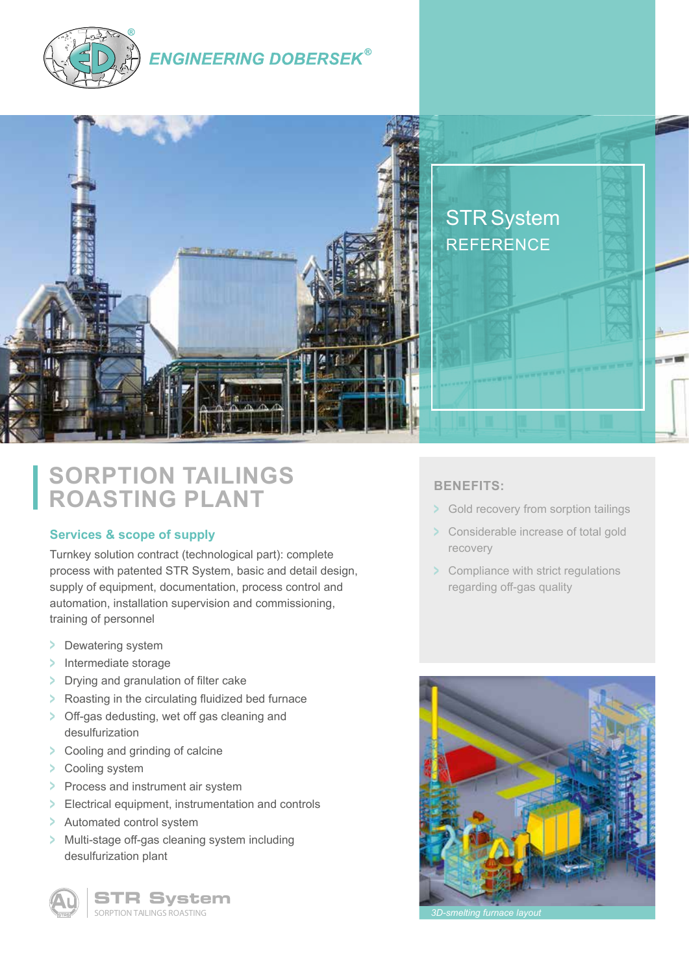



# **SORPTION TAILINGS ROASTING PLANT**

## **Services & scope of supply**

Turnkey solution contract (technological part): complete process with patented STR System, basic and detail design, supply of equipment, documentation, process control and automation, installation supervision and commissioning, training of personnel

- **>** Dewatering system
- **>** Intermediate storage
- **>** Drying and granulation of filter cake
- **>** Roasting in the circulating fluidized bed furnace
- **>** Off-gas dedusting, wet off gas cleaning and desulfurization
- **>** Cooling and grinding of calcine
- **>** Cooling system
- **>** Process and instrument air system
- **>** Electrical equipment, instrumentation and controls
- **>** Automated control system
- **>** Multi-stage off-gas cleaning system including desulfurization plant



## **BENEFITS:**

- **>** Gold recovery from sorption tailings
- **>** Considerable increase of total gold recovery
- **>** Compliance with strict regulations regarding off-gas quality



*3D-smelting furnace layout*